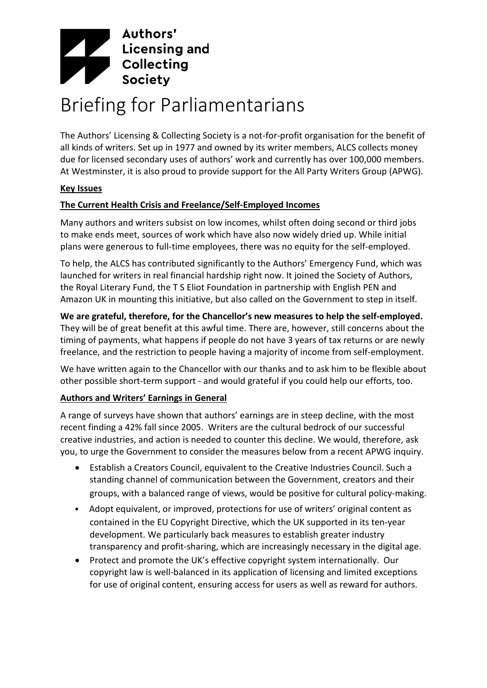

# Briefing for Parliamentarians

The Authors' Licensing & Collecting Society is a not-for-profit organisation for the benefit of all kinds of writers. Set up in 1977 and owned by its writer members, ALCS collects money due for licensed secondary uses of authors' work and currently has over 100,000 members. At Westminster, it is also proud to provide support for the All Party Writers Group (APWG).

#### **Key Issues**

## **The Current Health Crisis and Freelance/Self-Employed Incomes**

Many authors and writers subsist on low incomes, whilst often doing second or third jobs to make ends meet, sources of work which have also now widely dried up. While initial plans were generous to full-time employees, there was no equity for the self-employed.

To help, the ALCS has contributed significantly to the Authors' Emergency Fund, which was launched for writers in real financial hardship right now. It joined the Society of Authors, the Royal Literary Fund, the T S Eliot Foundation in partnership with English PEN and Amazon UK in mounting this initiative, but also called on the Government to step in itself.

**We are grateful, therefore, for the Chancellor's new measures to help the self-employed.**  They will be of great benefit at this awful time. There are, however, still concerns about the timing of payments, what happens if people do not have 3 years of tax returns or are newly freelance, and the restriction to people having a majority of income from self-employment.

We have written again to the Chancellor with our thanks and to ask him to be flexible about other possible short-term support - and would grateful if you could help our efforts, too.

# **Authors and Writers' Earnings in General**

A range of surveys have shown that authors' earnings are in steep decline, with the most recent finding a 42% fall since 2005. Writers are the cultural bedrock of our successful creative industries, and action is needed to counter this decline. We would, therefore, ask you, to urge the Government to consider the measures below from a recent APWG inquiry.

- Establish a Creators Council, equivalent to the Creative Industries Council. Such a standing channel of communication between the Government, creators and their groups, with a balanced range of views, would be positive for cultural policy-making.
- Adopt equivalent, or improved, protections for use of writers' original content as contained in the EU Copyright Directive, which the UK supported in its ten-year development. We particularly back measures to establish greater industry transparency and profit-sharing, which are increasingly necessary in the digital age.
- Protect and promote the UK's effective copyright system internationally. Our copyright law is well-balanced in its application of licensing and limited exceptions for use of original content, ensuring access for users as well as reward for authors.